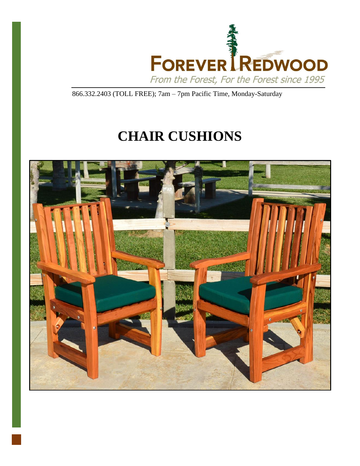

866.332.2403 (TOLL FREE); 7am – 7pm Pacific Time, Monday-Saturday

# **CHAIR CUSHIONS**

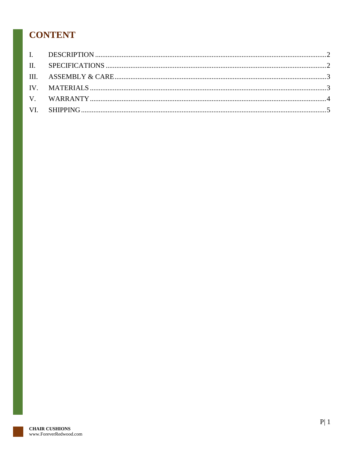## **CONTENT**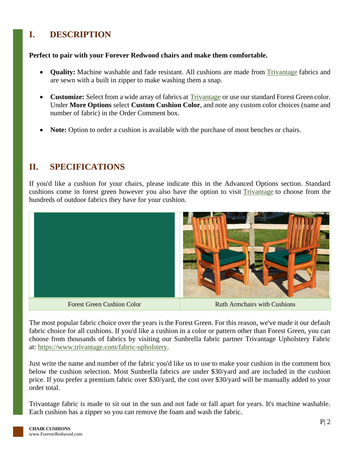### <span id="page-2-0"></span>**I. DESCRIPTION**

#### **Perfect to pair with your Forever Redwood chairs and make them comfortable.**

- **Quality:** Machine washable and fade resistant. All cushions are made from [Trivantage](http://www.trivantage.com/fabric-upholstery) fabrics and are sewn with a built in zipper to make washing them a snap.
- **Customize:** Select from a wide array of fabrics at **[Trivantage](http://www.trivantage.com/)** or use our standard Forest Green color. Under **More Options** select **Custom Cushion Color**, and note any custom color choices (name and number of fabric) in the Order Comment box.
- **Note:** Option to order a cushion is available with the purchase of most benches or chairs.

#### <span id="page-2-1"></span>**II. SPECIFICATIONS**

If you'd like a cushion for your chairs, please indicate this in the Advanced Options section. Standard cushions come in forest green however you also have the option to visit [Trivantage](https://www.trivantage.com/fabric-upholstery) to choose from the hundreds of outdoor fabrics they have for your cushion.



The most popular fabric choice over the years is the Forest Green. For this reason, we've made it our default fabric choice for all cushions. If you'd like a cushion in a color or pattern other than Forest Green, you can choose from thousands of fabrics by visiting our Sunbrella fabric partner Trivantage Upholstery Fabric at: [https://www.trivantage.com/fabric-upholstery.](https://www.trivantage.com/fabric-upholstery)

Just write the name and number of the fabric you'd like us to use to make your cushion in the comment box below the cushion selection. Most Sunbrella fabrics are under \$30/yard and are included in the cushion price. If you prefer a premium fabric over \$30/yard, the cost over \$30/yard will be manually added to your order total.

Trivantage fabric is made to sit out in the sun and not fade or fall apart for years. It's machine washable. Each cushion has a zipper so you can remove the foam and wash the fabric.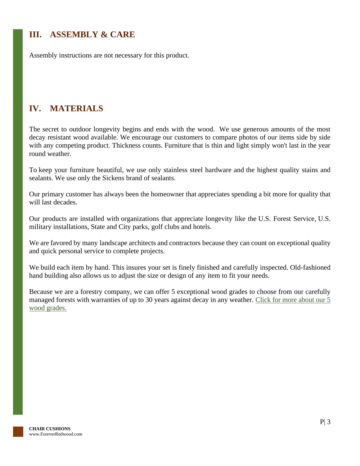### <span id="page-3-0"></span>**III. ASSEMBLY & CARE**

Assembly instructions are not necessary for this product.

### <span id="page-3-1"></span>**IV. MATERIALS**

The secret to outdoor longevity begins and ends with the wood. We use generous amounts of the most decay resistant wood available. We encourage our customers to compare photos of our items side by side with any competing product. Thickness counts. Furniture that is thin and light simply won't last in the year round weather.

To keep your furniture beautiful, we use only stainless steel hardware and the highest quality stains and sealants. We use only the Sickens brand of sealants.

Our primary customer has always been the homeowner that appreciates spending a bit more for quality that will last decades.

Our products are installed with organizations that appreciate longevity like the U.S. Forest Service, U.S. military installations, State and City parks, golf clubs and hotels.

We are favored by many landscape architects and contractors because they can count on exceptional quality and quick personal service to complete projects.

We build each item by hand. This insures your set is finely finished and carefully inspected. Old-fashioned hand building also allows us to adjust the size or design of any item to fit your needs.

Because we are a forestry company, we can offer 5 exceptional wood grades to choose from our carefully managed forests with warranties of up to 30 years against decay in any weather. Click for more about our 5 [wood grades.](https://www.foreverredwood.com/redwood-furniture/wood-grade/)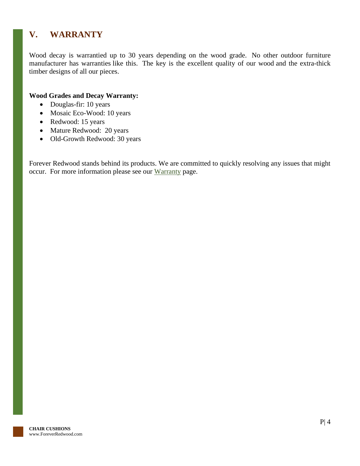### <span id="page-4-0"></span>**V. WARRANTY**

Wood decay is warrantied up to 30 years depending on the wood grade. No other outdoor furniture manufacturer has warranties like this. The key is the excellent quality of our wood and the extra-thick timber designs of all our pieces.

#### **Wood Grades and Decay Warranty:**

- Douglas-fir: 10 years
- Mosaic Eco-Wood: 10 years
- Redwood: 15 years
- Mature Redwood: 20 years
- Old-Growth Redwood: 30 years

Forever Redwood stands behind its products. We are committed to quickly resolving any issues that might occur. For more information please see our [Warranty](https://www.foreverredwood.com/redwood-furniture/warranty) page.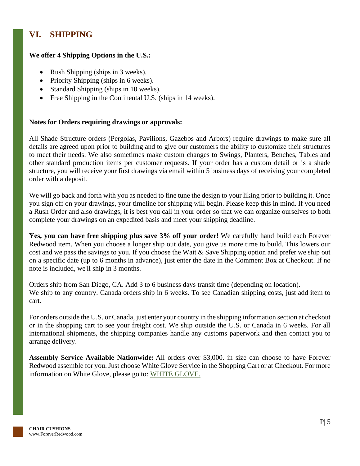### <span id="page-5-0"></span>**VI. SHIPPING**

#### **We offer 4 Shipping Options in the U.S.:**

- Rush Shipping (ships in 3 weeks).
- Priority Shipping (ships in 6 weeks).
- Standard Shipping (ships in 10 weeks).
- Free Shipping in the Continental U.S. (ships in 14 weeks).

#### **Notes for Orders requiring drawings or approvals:**

All Shade Structure orders (Pergolas, Pavilions, Gazebos and Arbors) require drawings to make sure all details are agreed upon prior to building and to give our customers the ability to customize their structures to meet their needs. We also sometimes make custom changes to Swings, Planters, Benches, Tables and other standard production items per customer requests. If your order has a custom detail or is a shade structure, you will receive your first drawings via email within 5 business days of receiving your completed order with a deposit.

We will go back and forth with you as needed to fine tune the design to your liking prior to building it. Once you sign off on your drawings, your timeline for shipping will begin. Please keep this in mind. If you need a Rush Order and also drawings, it is best you call in your order so that we can organize ourselves to both complete your drawings on an expedited basis and meet your shipping deadline.

**Yes, you can have free shipping plus save 3% off your order!** We carefully hand build each Forever Redwood item. When you choose a longer ship out date, you give us more time to build. This lowers our cost and we pass the savings to you. If you choose the Wait & Save Shipping option and prefer we ship out on a specific date (up to 6 months in advance), just enter the date in the Comment Box at Checkout. If no note is included, we'll ship in 3 months.

Orders ship from San Diego, CA. Add 3 to 6 business days transit time (depending on location). We ship to any country. Canada orders ship in 6 weeks. To see Canadian shipping costs, just add item to cart.

For orders outside the U.S. or Canada, just enter your country in the shipping information section at checkout or in the shopping cart to see your freight cost. We ship outside the U.S. or Canada in 6 weeks. For all international shipments, the shipping companies handle any customs paperwork and then contact you to arrange delivery.

**Assembly Service Available Nationwide:** All orders over \$3,000. in size can choose to have Forever Redwood assemble for you. Just choose White Glove Service in the Shopping Cart or at Checkout. For more information on White Glove, please go to: [WHITE GLOVE.](https://www.foreverredwood.com/white-glove/)